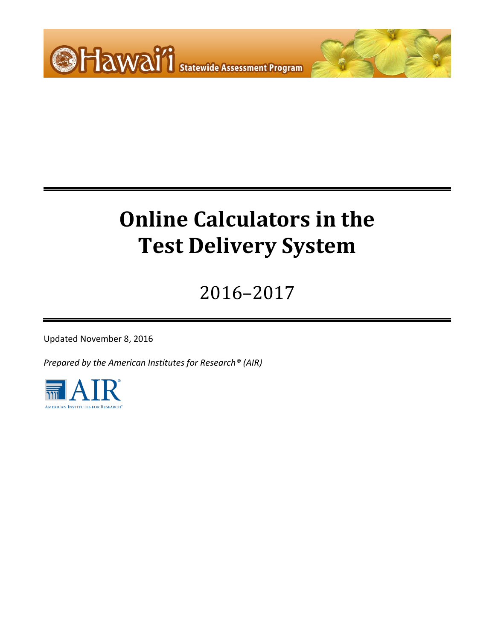



2016–2017

Updated November 8, 2016

*Prepared by the American Institutes for Research® (AIR)*

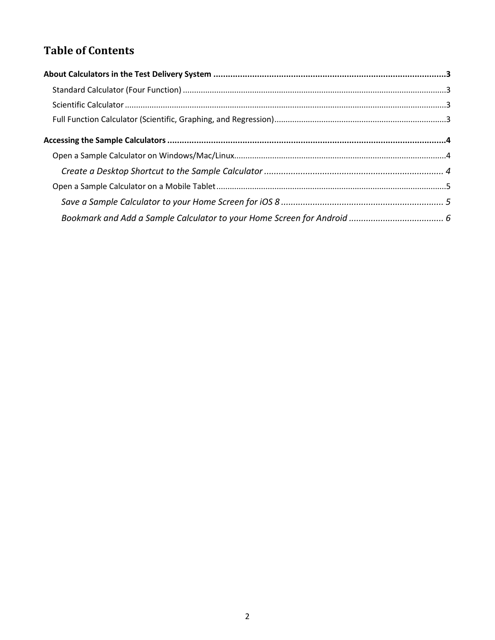# **Table of Contents**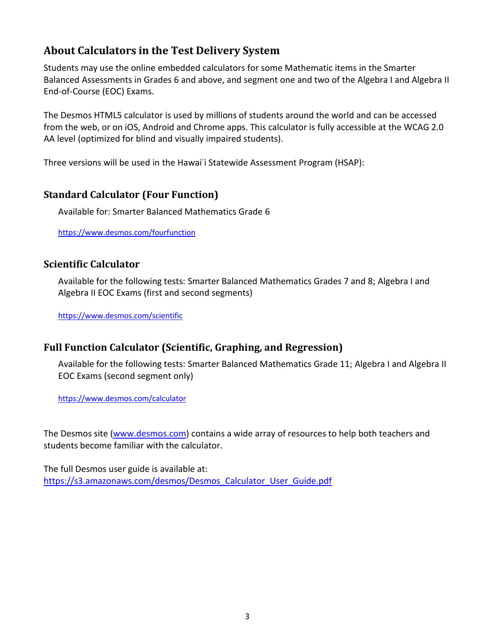## <span id="page-2-0"></span>**About Calculators in the Test Delivery System**

Students may use the online embedded calculators for some Mathematic items in the Smarter Balanced Assessments in Grades 6 and above, and segment one and two of the Algebra I and Algebra II End-of-Course (EOC) Exams.

The Desmos HTML5 calculator is used by millions of students around the world and can be accessed from the web, or on iOS, Android and Chrome apps. This calculator is fully accessible at the WCAG 2.0 AA level (optimized for blind and visually impaired students).

Three versions will be used in the Hawai`i Statewide Assessment Program (HSAP):

## <span id="page-2-1"></span>**Standard Calculator (Four Function)**

Available for: Smarter Balanced Mathematics Grade 6

<https://www.desmos.com/fourfunction>

### <span id="page-2-2"></span>**Scientific Calculator**

Available for the following tests: Smarter Balanced Mathematics Grades 7 and 8; Algebra I and Algebra II EOC Exams (first and second segments)

<https://www.desmos.com/scientific>

## <span id="page-2-3"></span>**Full Function Calculator (Scientific, Graphing, and Regression)**

Available for the following tests: Smarter Balanced Mathematics Grade 11; Algebra I and Algebra II EOC Exams (second segment only)

<https://www.desmos.com/calculator>

The Desmos site [\(www.desmos.com\)](http://www.desmos.com/) contains a wide array of resources to help both teachers and students become familiar with the calculator.

The full Desmos user guide is available at: [https://s3.amazonaws.com/desmos/Desmos\\_Calculator\\_User\\_Guide.pdf](https://s3.amazonaws.com/desmos/Desmos_Calculator_User_Guide.pdf)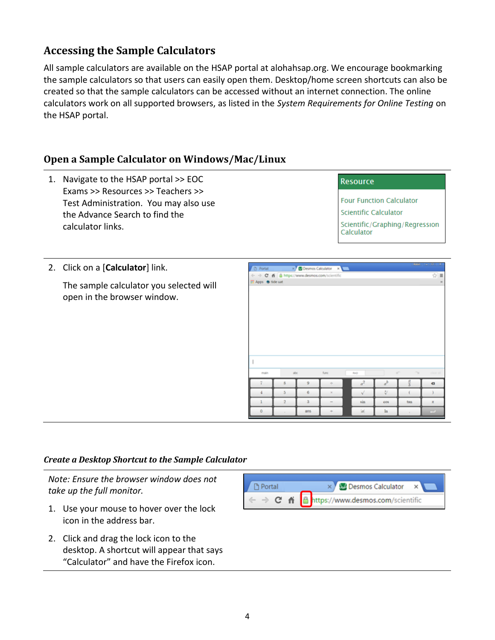## <span id="page-3-0"></span>**Accessing the Sample Calculators**

All sample calculators are available on the HSAP portal at alohahsap.org. We encourage bookmarking the sample calculators so that users can easily open them. Desktop/home screen shortcuts can also be created so that the sample calculators can be accessed without an internet connection. The online calculators work on all supported browsers, as listed in the *System Requirements for Online Testing* on the HSAP portal.

## <span id="page-3-1"></span>**Open a Sample Calculator on Windows/Mac/Linux**

1. Navigate to the HSAP portal >> EOC Exams >> Resources >> Teachers >> Test Administration. You may also use the Advance Search to find the calculator links.

**Resource** 

**Four Function Calculator** 

**Scientific Calculator** 

Scientific/Graphing/Regression Calculator

2. Click on a [**Calculator**] link.

The sample calculator you selected will open in the browser window.

| <b>D</b> Portal     |                | X Desmos Calculator X                   |              |        |     |                                   |                  |
|---------------------|----------------|-----------------------------------------|--------------|--------|-----|-----------------------------------|------------------|
| ÷                   |                | C & B https://www.desmos.com/scientific |              |        |     |                                   | $\hat{w} \equiv$ |
| El Apps @ tide uat  |                |                                         |              |        |     |                                   | $\overline{a}$   |
|                     |                |                                         |              |        |     |                                   |                  |
|                     |                |                                         |              |        |     |                                   |                  |
|                     |                |                                         |              |        |     |                                   |                  |
|                     |                |                                         |              |        |     |                                   |                  |
|                     |                |                                         |              |        |     |                                   |                  |
|                     |                |                                         |              |        |     |                                   |                  |
|                     |                |                                         |              |        |     |                                   |                  |
|                     |                |                                         |              |        |     |                                   |                  |
|                     |                |                                         |              |        |     |                                   |                  |
|                     |                |                                         |              |        |     |                                   |                  |
|                     |                |                                         |              |        |     |                                   |                  |
|                     |                |                                         |              |        |     | $\mathcal{L}^{\mathcal{L}}$<br>m. | clear all        |
| man                 | $\rm{mpc}$     |                                         | func         | RHD    |     |                                   |                  |
| T.                  | $\dot{s}$      | $\dot{9}$                               | ÷            | $a^2$  | ď   | 릏                                 | ۰                |
| 4                   | 5              | 6                                       | $\mathbb{R}$ | V      | V   | X.                                | x                |
|                     | $\overline{2}$ | $\ddot{\delta}$                         | $\sim$       | $\sin$ | cos | tan                               | z                |
| $\ddot{\mathbf{0}}$ |                | ans                                     | ÷            | (a)    | ln  |                                   | $\overline{a}$   |

#### <span id="page-3-2"></span>*Create a Desktop Shortcut to the Sample Calculator*

*Note: Ensure the browser window does not take up the full monitor.* 

- 1. Use your mouse to hover over the lock icon in the address bar.
- 2. Click and drag the lock icon to the desktop. A shortcut will appear that says "Calculator" and have the Firefox icon.

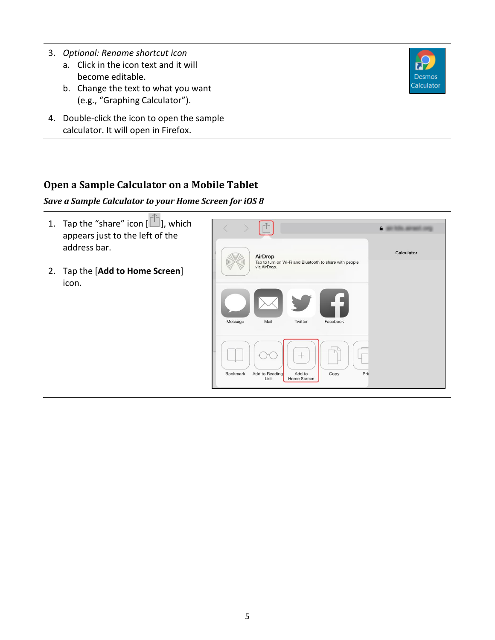- 3. *Optional: Rename shortcut icon*
	- a. Click in the icon text and it will become editable.
	- b. Change the text to what you want (e.g., "Graphing Calculator").
- 4. Double-click the icon to open the sample calculator. It will open in Firefox.



### <span id="page-4-0"></span>**Open a Sample Calculator on a Mobile Tablet**

#### <span id="page-4-1"></span>*Save a Sample Calculator to your Home Screen for iOS 8*

- 1. Tap the "share" icon  $[\Box]$ , which appears just to the left of the address bar.
- 2. Tap the [**Add to Home Screen**] icon.

|          |                                                                                    | $\mathbf{a}$ |
|----------|------------------------------------------------------------------------------------|--------------|
|          | AirDrop<br>Tap to turn on Wi-Fi and Bluetooth to share with people<br>via AirDrop. | Calculator   |
| Message  | Mail<br>Twitter<br>Facebook                                                        |              |
| Bookmark | Add to Reading<br>Add to<br>Copy<br>Pri<br>Home Screen<br>List                     |              |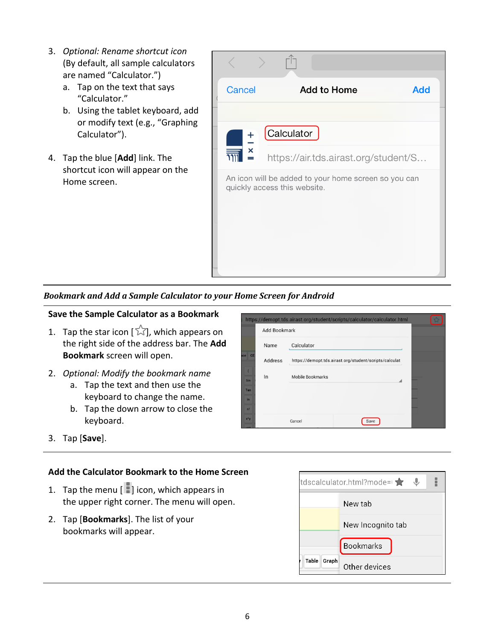- 3. *Optional: Rename shortcut icon*  (By default, all sample calculators are named "Calculator.")
	- a. Tap on the text that says "Calculator."
	- b. Using the tablet keyboard, add or modify text (e.g., "Graphing Calculator").
- 4. Tap the blue [**Add**] link. The shortcut icon will appear on the Home screen.



#### <span id="page-5-0"></span>*Bookmark and Add a Sample Calculator to your Home Screen for Android*

#### **Save the Sample Calculator as a Bookmark**

- 1. Tap the star icon  $\left[\sqrt[3]{2}\right]$ , which appears on the right side of the address bar. The **Add Bookmark** screen will open.
- 2. *Optional: Modify the bookmark name*
	- a. Tap the text and then use the keyboard to change the name.
	- b. Tap the down arrow to close the keyboard.
- https://demopt.tds.airast.org/student/scripts/calculator/calculator.html Add Bookmark Name Calculator Address https://demopt.tds.airast.org/student/scripts/calculat  $\ln$ Mobile Bookmarks .<br>Tar Cancel  $Save$

3. Tap [**Save**].

#### **Add the Calculator Bookmark to the Home Screen**

- 1. Tap the menu  $\begin{bmatrix} 1 \\ 1 \end{bmatrix}$  icon, which appears in the upper right corner. The menu will open.
- 2. Tap [**Bookmarks**]. The list of your bookmarks will appear.